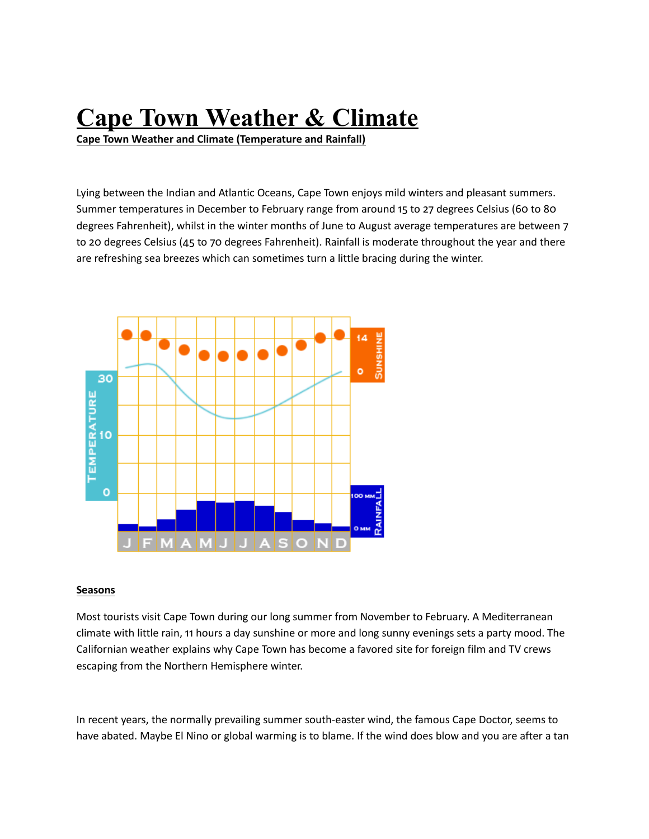## **Cape Town Weather & Climate**

**Cape Town Weather and Climate (Temperature and Rainfall)**

Lying between the Indian and Atlantic Oceans, Cape Town enjoys mild winters and pleasant summers. Summer temperatures in December to February range from around 15 to 27 degrees Celsius (60 to 80 degrees Fahrenheit), whilst in the winter months of June to August average temperatures are between 7 to 20 degrees Celsius (45 to 70 degrees Fahrenheit). Rainfall is moderate throughout the year and there are refreshing sea breezes which can sometimes turn a little bracing during the winter.



## **Seasons**

Most tourists visit Cape Town during our long summer from November to February. A Mediterranean climate with little rain, 11 hours a day sunshine or more and long sunny evenings sets a party mood. The Californian weather explains why Cape Town has become a favored site for foreign film and TV crews escaping from the Northern Hemisphere winter.

In recent years, the normally prevailing summer south-easter wind, the famous Cape Doctor, seems to have abated. Maybe El Nino or global warming is to blame. If the wind does blow and you are after a tan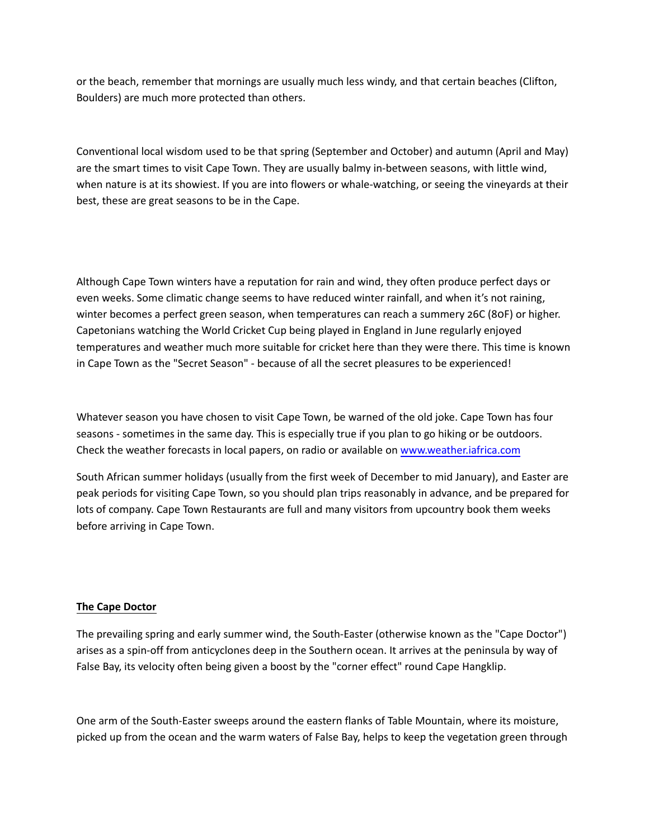or the beach, remember that mornings are usually much less windy, and that certain beaches (Clifton, Boulders) are much more protected than others.

Conventional local wisdom used to be that spring (September and October) and autumn (April and May) are the smart times to visit Cape Town. They are usually balmy in‐between seasons, with little wind, when nature is at its showiest. If you are into flowers or whale-watching, or seeing the vineyards at their best, these are great seasons to be in the Cape.

Although Cape Town winters have a reputation for rain and wind, they often produce perfect days or even weeks. Some climatic change seems to have reduced winter rainfall, and when it's not raining, winter becomes a perfect green season, when temperatures can reach a summery 26C (80F) or higher. Capetonians watching the World Cricket Cup being played in England in June regularly enjoyed temperatures and weather much more suitable for cricket here than they were there. This time is known in Cape Town as the "Secret Season" ‐ because of all the secret pleasures to be experienced!

Whatever season you have chosen to visit Cape Town, be warned of the old joke. Cape Town has four seasons - sometimes in the same day. This is especially true if you plan to go hiking or be outdoors. Check the weather forecasts in local papers, on radio or available on [www.weather.iafrica.com](http://www.weather.iafrica.com/)

South African summer holidays (usually from the first week of December to mid January), and Easter are peak periods for visiting Cape Town, so you should plan trips reasonably in advance, and be prepared for lots of company. Cape Town Restaurants are full and many visitors from upcountry book them weeks before arriving in Cape Town.

## **The Cape Doctor**

The prevailing spring and early summer wind, the South‐Easter (otherwise known as the "Cape Doctor") arises as a spin‐off from anticyclones deep in the Southern ocean. It arrives at the peninsula by way of False Bay, its velocity often being given a boost by the "corner effect" round Cape Hangklip.

One arm of the South‐Easter sweeps around the eastern flanks of Table Mountain, where its moisture, picked up from the ocean and the warm waters of False Bay, helps to keep the vegetation green through